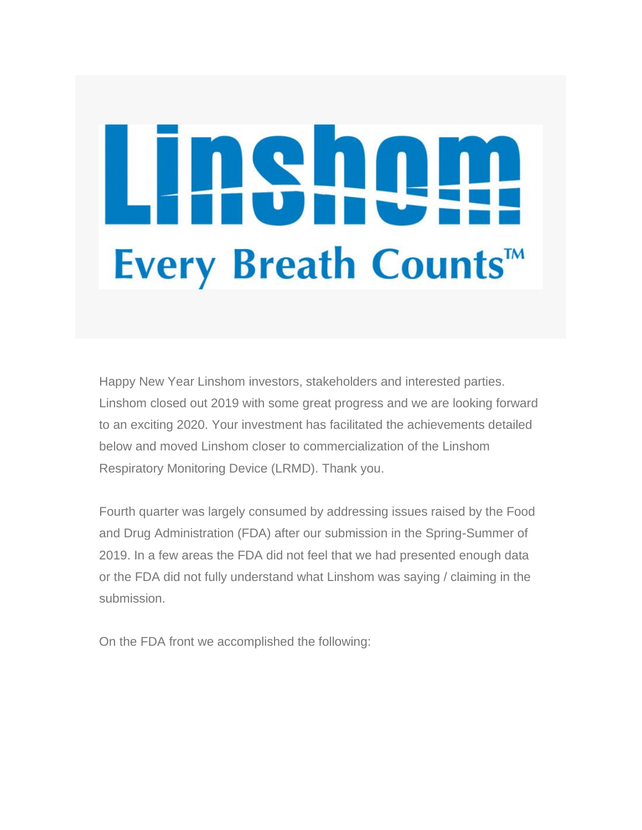## 1841 ╄╾╋═ Every Breath Counts™

Happy New Year Linshom investors, stakeholders and interested parties. Linshom closed out 2019 with some great progress and we are looking forward to an exciting 2020. Your investment has facilitated the achievements detailed below and moved Linshom closer to commercialization of the Linshom Respiratory Monitoring Device (LRMD). Thank you.

Fourth quarter was largely consumed by addressing issues raised by the Food and Drug Administration (FDA) after our submission in the Spring-Summer of 2019. In a few areas the FDA did not feel that we had presented enough data or the FDA did not fully understand what Linshom was saying / claiming in the submission.

On the FDA front we accomplished the following: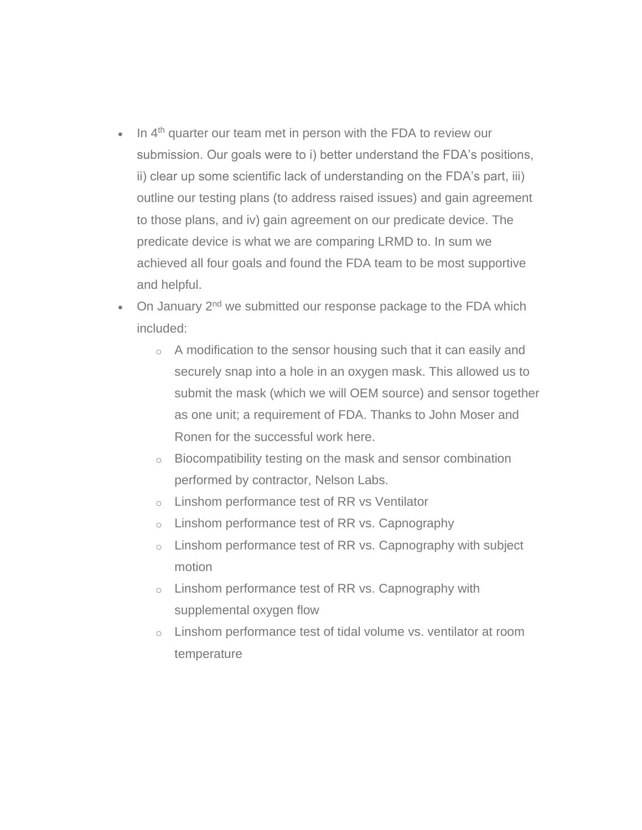- $\bullet$  In  $4<sup>th</sup>$  quarter our team met in person with the FDA to review our submission. Our goals were to i) better understand the FDA's positions, ii) clear up some scientific lack of understanding on the FDA's part, iii) outline our testing plans (to address raised issues) and gain agreement to those plans, and iv) gain agreement on our predicate device. The predicate device is what we are comparing LRMD to. In sum we achieved all four goals and found the FDA team to be most supportive and helpful.
- On January 2<sup>nd</sup> we submitted our response package to the FDA which included:
	- o A modification to the sensor housing such that it can easily and securely snap into a hole in an oxygen mask. This allowed us to submit the mask (which we will OEM source) and sensor together as one unit; a requirement of FDA. Thanks to John Moser and Ronen for the successful work here.
	- o Biocompatibility testing on the mask and sensor combination performed by contractor, Nelson Labs.
	- o Linshom performance test of RR vs Ventilator
	- $\circ$  Linshom performance test of RR vs. Capnography
	- $\circ$  Linshom performance test of RR vs. Capnography with subject motion
	- $\circ$  Linshom performance test of RR vs. Capnography with supplemental oxygen flow
	- o Linshom performance test of tidal volume vs. ventilator at room temperature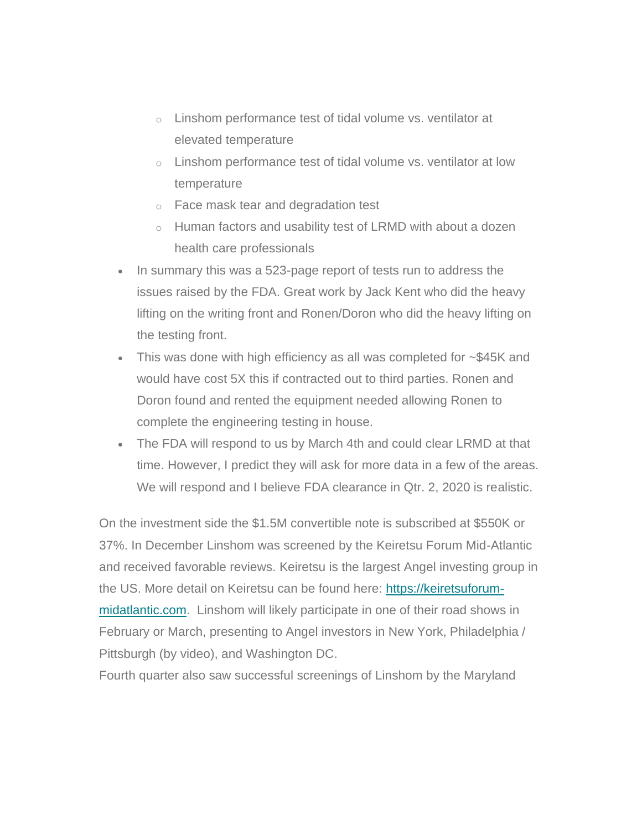- $\circ$  Linshom performance test of tidal volume vs. ventilator at elevated temperature
- $\circ$  Linshom performance test of tidal volume vs. ventilator at low temperature
- o Face mask tear and degradation test
- o Human factors and usability test of LRMD with about a dozen health care professionals
- In summary this was a 523-page report of tests run to address the issues raised by the FDA. Great work by Jack Kent who did the heavy lifting on the writing front and Ronen/Doron who did the heavy lifting on the testing front.
- This was done with high efficiency as all was completed for ~\$45K and would have cost 5X this if contracted out to third parties. Ronen and Doron found and rented the equipment needed allowing Ronen to complete the engineering testing in house.
- The FDA will respond to us by March 4th and could clear LRMD at that time. However, I predict they will ask for more data in a few of the areas. We will respond and I believe FDA clearance in Qtr. 2, 2020 is realistic.

On the investment side the \$1.5M convertible note is subscribed at \$550K or 37%. In December Linshom was screened by the Keiretsu Forum Mid-Atlantic and received favorable reviews. Keiretsu is the largest Angel investing group in the US. More detail on Keiretsu can be found here: [https://keiretsuforum](https://linsomforlife.us4.list-manage.com/track/click?u=aa3c77c44e937981b267385c9&id=94b2e25868&e=be0a5cec7b)[midatlantic.com.](https://linsomforlife.us4.list-manage.com/track/click?u=aa3c77c44e937981b267385c9&id=94b2e25868&e=be0a5cec7b) Linshom will likely participate in one of their road shows in February or March, presenting to Angel investors in New York, Philadelphia / Pittsburgh (by video), and Washington DC.

Fourth quarter also saw successful screenings of Linshom by the Maryland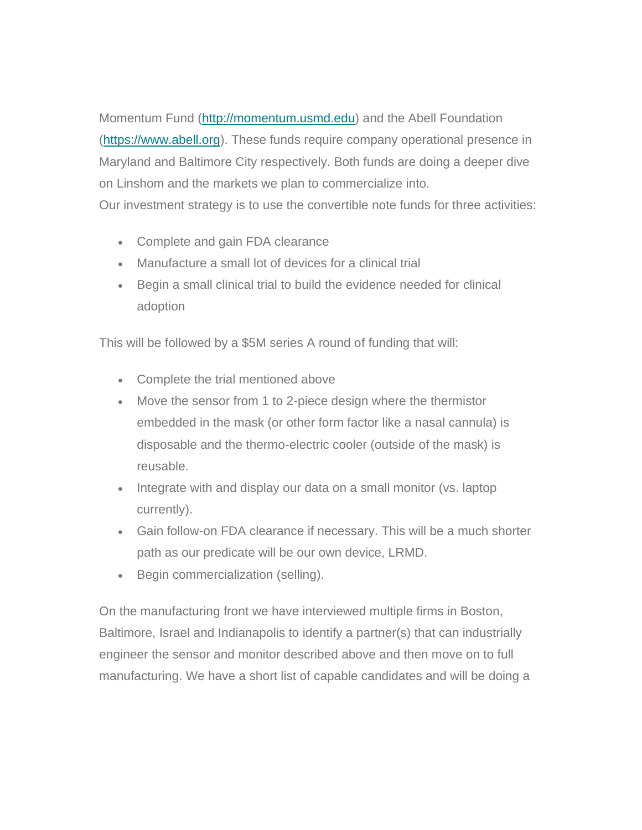Momentum Fund [\(http://momentum.usmd.edu\)](https://linsomforlife.us4.list-manage.com/track/click?u=aa3c77c44e937981b267385c9&id=813accb17c&e=be0a5cec7b) and the Abell Foundation [\(https://www.abell.org\)](https://linsomforlife.us4.list-manage.com/track/click?u=aa3c77c44e937981b267385c9&id=0af7486935&e=be0a5cec7b). These funds require company operational presence in Maryland and Baltimore City respectively. Both funds are doing a deeper dive on Linshom and the markets we plan to commercialize into. Our investment strategy is to use the convertible note funds for three activities:

- Complete and gain FDA clearance
- Manufacture a small lot of devices for a clinical trial
- Begin a small clinical trial to build the evidence needed for clinical adoption

This will be followed by a \$5M series A round of funding that will:

- Complete the trial mentioned above
- Move the sensor from 1 to 2-piece design where the thermistor embedded in the mask (or other form factor like a nasal cannula) is disposable and the thermo-electric cooler (outside of the mask) is reusable.
- Integrate with and display our data on a small monitor (vs. laptop currently).
- Gain follow-on FDA clearance if necessary. This will be a much shorter path as our predicate will be our own device, LRMD.
- Begin commercialization (selling).

On the manufacturing front we have interviewed multiple firms in Boston, Baltimore, Israel and Indianapolis to identify a partner(s) that can industrially engineer the sensor and monitor described above and then move on to full manufacturing. We have a short list of capable candidates and will be doing a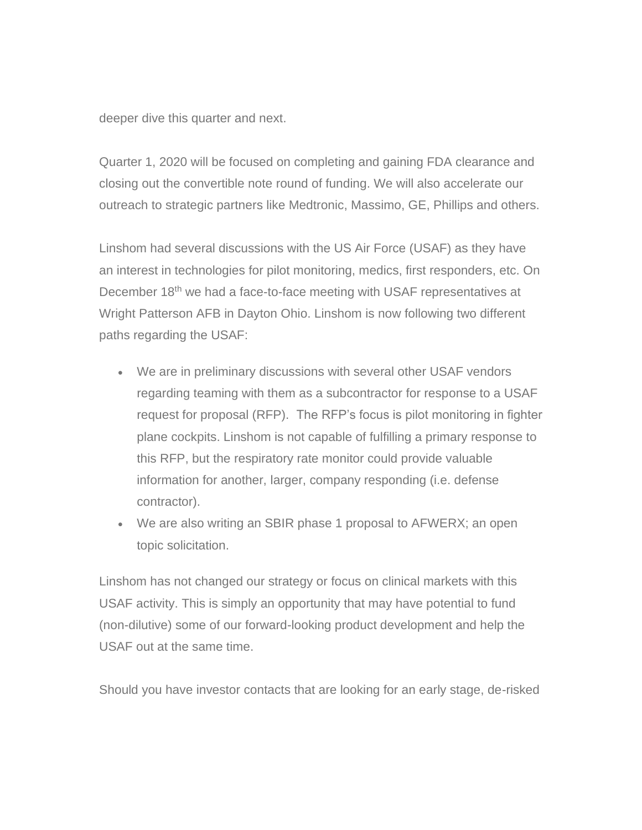deeper dive this quarter and next.

Quarter 1, 2020 will be focused on completing and gaining FDA clearance and closing out the convertible note round of funding. We will also accelerate our outreach to strategic partners like Medtronic, Massimo, GE, Phillips and others.

Linshom had several discussions with the US Air Force (USAF) as they have an interest in technologies for pilot monitoring, medics, first responders, etc. On December 18<sup>th</sup> we had a face-to-face meeting with USAF representatives at Wright Patterson AFB in Dayton Ohio. Linshom is now following two different paths regarding the USAF:

- We are in preliminary discussions with several other USAF vendors regarding teaming with them as a subcontractor for response to a USAF request for proposal (RFP). The RFP's focus is pilot monitoring in fighter plane cockpits. Linshom is not capable of fulfilling a primary response to this RFP, but the respiratory rate monitor could provide valuable information for another, larger, company responding (i.e. defense contractor).
- We are also writing an SBIR phase 1 proposal to AFWERX; an open topic solicitation.

Linshom has not changed our strategy or focus on clinical markets with this USAF activity. This is simply an opportunity that may have potential to fund (non-dilutive) some of our forward-looking product development and help the USAF out at the same time.

Should you have investor contacts that are looking for an early stage, de-risked